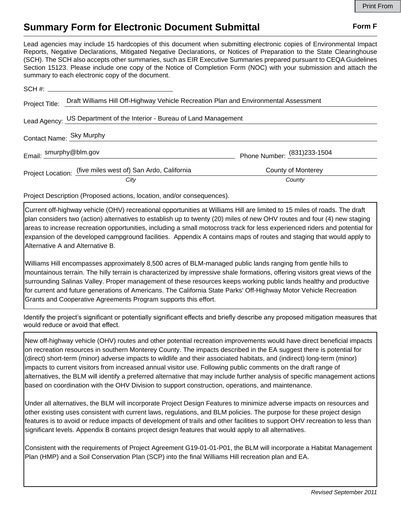## **Summary Form for Electronic Document Submittal Form F Form F**

Lead agencies may include 15 hardcopies of this document when submitting electronic copies of Environmental Impact Reports, Negative Declarations, Mitigated Negative Declarations, or Notices of Preparation to the State Clearinghouse (SCH). The SCH also accepts other summaries, such as EIR Executive Summaries prepared pursuant to CEQA Guidelines Section 15123. Please include one copy of the Notice of Completion Form (NOC) with your submission and attach the summary to each electronic copy of the document.

| Project Title:           | Draft Williams Hill Off-Highway Vehicle Recreation Plan and Environmental Assessment |                              |
|--------------------------|--------------------------------------------------------------------------------------|------------------------------|
|                          | Lead Agency: US Department of the Interior - Bureau of Land Management               |                              |
| Contact Name: Sky Murphy |                                                                                      |                              |
| Email: Smurphy@blm.gov   |                                                                                      | Phone Number: (831) 233-1504 |
|                          | Project Location: (five miles west of) San Ardo, California                          | <b>County of Monterey</b>    |
|                          | City                                                                                 | County                       |

Project Description (Proposed actions, location, and/or consequences).

Current off-highway vehicle (OHV) recreational opportunities at Williams Hill are limited to 15 miles of roads. The draft plan considers two (action) alternatives to establish up to twenty (20) miles of new OHV routes and four (4) new staging areas to increase recreation opportunities, including a small motocross track for less experienced riders and potential for expansion of the developed campground facilities. Appendix A contains maps of routes and staging that would apply to Alternative A and Alternative B.

Williams Hill encompasses approximately 8,500 acres of BLM-managed public lands ranging from gentle hills to mountainous terrain. The hilly terrain is characterized by impressive shale formations, offering visitors great views of the surrounding Salinas Valley. Proper management of these resources keeps working public lands healthy and productive for current and future generations of Americans. The California State Parks' Off-Highway Motor Vehicle Recreation Grants and Cooperative Agreements Program supports this effort.

Identify the project's significant or potentially significant effects and briefly describe any proposed mitigation measures that would reduce or avoid that effect.

New off-highway vehicle (OHV) routes and other potential recreation improvements would have direct beneficial impacts on recreation resources in southern Monterey County. The impacts described in the EA suggest there is potential for (direct) short-term (minor) adverse impacts to wildlife and their associated habitats, and (indirect) long-term (minor) impacts to current visitors from increased annual visitor use. Following public comments on the draft range of alternatives, the BLM will identify a preferred alternative that may include further analysis of specific management actions based on coordination with the OHV Division to support construction, operations, and maintenance.

Under all alternatives, the BLM will incorporate Project Design Features to minimize adverse impacts on resources and other existing uses consistent with current laws, regulations, and BLM policies. The purpose for these project design features is to avoid or reduce impacts of development of trails and other facilities to support OHV recreation to less than significant levels. Appendix B contains project design features that would apply to all alternatives.

Consistent with the requirements of Project Agreement G19-01-01-P01, the BLM will incorporate a Habitat Management Plan (HMP) and a Soil Conservation Plan (SCP) into the final Williams Hill recreation plan and EA.